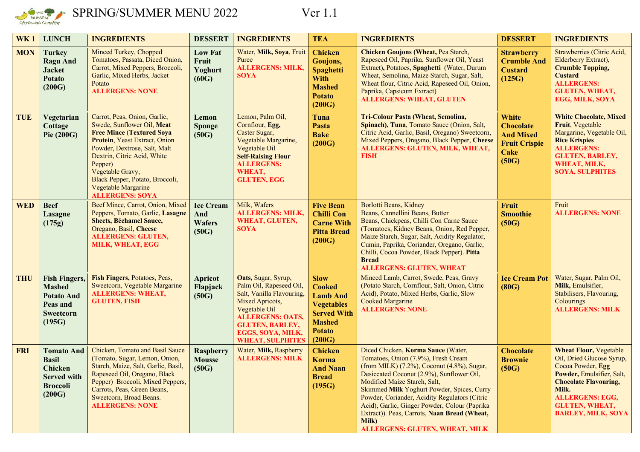

## SPRING/SUMMER MENU 2022 Ver 1.1

| WK <sub>1</sub> | <b>LUNCH</b>                                                                                           | <b>INGREDIENTS</b>                                                                                                                                                                                                                                                                                                | <b>DESSERT</b>                                    | <b>INGREDIENTS</b>                                                                                                                                                                                                   | <b>TEA</b>                                                                                                                             | <b>INGREDIENTS</b>                                                                                                                                                                                                                                                                                                                                                                                                                                     | <b>DESSERT</b>                                                                                       | <b>INGREDIENTS</b>                                                                                                                                                                                                                    |
|-----------------|--------------------------------------------------------------------------------------------------------|-------------------------------------------------------------------------------------------------------------------------------------------------------------------------------------------------------------------------------------------------------------------------------------------------------------------|---------------------------------------------------|----------------------------------------------------------------------------------------------------------------------------------------------------------------------------------------------------------------------|----------------------------------------------------------------------------------------------------------------------------------------|--------------------------------------------------------------------------------------------------------------------------------------------------------------------------------------------------------------------------------------------------------------------------------------------------------------------------------------------------------------------------------------------------------------------------------------------------------|------------------------------------------------------------------------------------------------------|---------------------------------------------------------------------------------------------------------------------------------------------------------------------------------------------------------------------------------------|
| <b>MON</b>      | <b>Turkey</b><br><b>Ragu And</b><br><b>Jacket</b><br><b>Potato</b><br>(200G)                           | Minced Turkey, Chopped<br>Tomatoes, Passata, Diced Onion,<br>Carrot, Mixed Peppers, Broccoli,<br>Garlic, Mixed Herbs, Jacket<br>Potato<br><b>ALLERGENS: NONE</b>                                                                                                                                                  | <b>Low Fat</b><br>Fruit<br>Yoghurt<br>(60G)       | Water, Milk, Soya, Fruit<br>Puree<br><b>ALLERGENS: MILK,</b><br>SOYA                                                                                                                                                 | <b>Chicken</b><br>Goujons,<br><b>Spaghetti</b><br><b>With</b><br><b>Mashed</b><br><b>Potato</b><br>(200G)                              | <b>Chicken Goujons (Wheat, Pea Starch,</b><br>Rapeseed Oil, Paprika, Sunflower Oil, Yeast<br>Extract), Potatoes, Spaghetti (Water, Durum<br>Wheat, Semolina, Maize Starch, Sugar, Salt,<br>Wheat flour, Citric Acid, Rapeseed Oil, Onion,<br>Paprika, Capsicum Extract)<br><b>ALLERGENS: WHEAT, GLUTEN</b>                                                                                                                                             | <b>Strawberry</b><br><b>Crumble And</b><br><b>Custard</b><br>(125G)                                  | Strawberries (Citric Acid,<br>Elderberry Extract),<br><b>Crumble Topping,</b><br><b>Custard</b><br><b>ALLERGENS:</b><br><b>GLUTEN, WHEAT,</b><br>EGG, MILK, SOYA                                                                      |
| <b>TUE</b>      | Vegetarian<br>Cottage<br><b>Pie (200G)</b>                                                             | Carrot, Peas, Onion, Garlic,<br>Swede, Sunflower Oil, Meat<br><b>Free Mince (Textured Soya</b><br>Protein, Yeast Extract, Onion<br>Powder, Dextrose, Salt, Malt<br>Dextrin, Citric Acid, White<br>Pepper)<br>Vegetable Gravy,<br>Black Pepper, Potato, Broccoli,<br>Vegetable Margarine<br><b>ALLERGENS: SOYA</b> | Lemon<br><b>Sponge</b><br>(50G)                   | Lemon, Palm Oil,<br>Cornflour, Egg,<br>Caster Sugar,<br>Vegetable Margarine,<br>Vegetable Oil<br><b>Self-Raising Flour</b><br><b>ALLERGENS:</b><br>WHEAT,<br><b>GLUTEN, EGG</b>                                      | Tuna<br>Pasta<br><b>Bake</b><br>(200G)                                                                                                 | <b>Tri-Colour Pasta (Wheat, Semolina,</b><br>Spinach), Tuna, Tomato Sauce (Onion, Salt,<br>Citric Acid, Garlic, Basil, Oregano) Sweetcorn,<br>Mixed Peppers, Oregano, Black Pepper, Cheese<br><b>ALLERGENS: GLUTEN, MILK, WHEAT,</b><br><b>FISH</b>                                                                                                                                                                                                    | <b>White</b><br><b>Chocolate</b><br><b>And Mixed</b><br><b>Fruit Crispie</b><br><b>Cake</b><br>(50G) | <b>White Chocolate, Mixed</b><br>Fruit, Vegetable<br>Margarine, Vegetable Oil,<br><b>Rice Krispies</b><br><b>ALLERGENS:</b><br><b>GLUTEN, BARLEY,</b><br>WHEAT, MILK,<br><b>SOYA, SULPHITES</b>                                       |
| <b>WED</b>      | <b>Beef</b><br>Lasagne<br>(175g)                                                                       | Beef Mince, Carrot, Onion, Mixed<br>Peppers, Tomato, Garlic, Lasagne<br><b>Sheets, Béchamel Sauce,</b><br>Oregano, Basil, Cheese<br><b>ALLERGENS: GLUTEN,</b><br><b>MILK, WHEAT, EGG</b>                                                                                                                          | <b>Ice Cream</b><br>And<br><b>Wafers</b><br>(50G) | Milk, Wafers<br><b>ALLERGENS: MILK,</b><br><b>WHEAT, GLUTEN,</b><br><b>SOYA</b>                                                                                                                                      | <b>Five Bean</b><br><b>Chilli Con</b><br><b>Carne With</b><br><b>Pitta Bread</b><br>(200G)                                             | <b>Borlotti Beans, Kidney</b><br>Beans, Cannellini Beans, Butter<br>Beans, Chickpeas, Chilli Con Carne Sauce<br>(Tomatoes, Kidney Beans, Onion, Red Pepper,<br>Maize Starch, Sugar, Salt, Acidity Regulator,<br>Cumin, Paprika, Coriander, Oregano, Garlic,<br>Chilli, Cocoa Powder, Black Pepper). Pitta<br><b>Bread</b><br><b>ALLERGENS: GLUTEN, WHEAT</b>                                                                                           | Fruit<br><b>Smoothie</b><br>(50G)                                                                    | Fruit<br><b>ALLERGENS: NONE</b>                                                                                                                                                                                                       |
| <b>THU</b>      | <b>Fish Fingers,</b><br><b>Mashed</b><br><b>Potato And</b><br>Peas and<br><b>Sweetcorn</b><br>(195G)   | Fish Fingers, Potatoes, Peas,<br>Sweetcorn, Vegetable Margarine<br><b>ALLERGENS: WHEAT,</b><br><b>GLUTEN, FISH</b>                                                                                                                                                                                                | <b>Apricot</b><br>Flapjack<br>(50G)               | Oats, Sugar, Syrup,<br>Palm Oil, Rapeseed Oil,<br>Salt, Vanilla Flavouring,<br>Mixed Apricots,<br>Vegetable Oil<br><b>ALLERGENS: OATS,</b><br><b>GLUTEN, BARLEY,</b><br>EGGS, SOYA, MILK,<br><b>WHEAT, SULPHITES</b> | <b>Slow</b><br><b>Cooked</b><br><b>Lamb And</b><br><b>Vegetables</b><br><b>Served With</b><br><b>Mashed</b><br><b>Potato</b><br>(200G) | Minced Lamb, Carrot, Swede, Peas, Gravy<br>(Potato Starch, Cornflour, Salt, Onion, Citric<br>Acid), Potato, Mixed Herbs, Garlic, Slow<br><b>Cooked Margarine</b><br><b>ALLERGENS: NONE</b>                                                                                                                                                                                                                                                             | <b>Ice Cream Pot</b><br>(80G)                                                                        | Water, Sugar, Palm Oil,<br>Milk, Emulsifier,<br>Stabilisers, Flavouring,<br>Colourings<br><b>ALLERGENS: MILK</b>                                                                                                                      |
| <b>FRI</b>      | <b>Tomato And</b><br><b>Basil</b><br><b>Chicken</b><br><b>Served with</b><br><b>Broccoli</b><br>(200G) | Chicken, Tomato and Basil Sauce<br>(Tomato, Sugar, Lemon, Onion,<br>Starch, Maize, Salt, Garlic, Basil,<br>Rapeseed Oil, Oregano, Black<br>Pepper) Broccoli, Mixed Peppers,<br>Carrots, Peas, Green Beans,<br>Sweetcorn, Broad Beans.<br><b>ALLERGENS: NONE</b>                                                   | <b>Raspberry</b><br><b>Mousse</b><br>(50G)        | Water, Milk, Raspberry<br><b>ALLERGENS: MILK</b>                                                                                                                                                                     | <b>Chicken</b><br><b>Korma</b><br><b>And Naan</b><br><b>Bread</b><br>(195G)                                                            | Diced Chicken, Korma Sauce (Water,<br>Tomatoes, Onion (7.9%), Fresh Cream<br>(from MILK) (7.2%), Coconut (4.8%), Sugar,<br>Desiccated Coconut (2.9%), Sunflower Oil,<br>Modified Maize Starch, Salt,<br>Skimmed Milk Yoghurt Powder, Spices, Curry<br>Powder, Coriander, Acidity Regulators (Citric<br>Acid), Garlic, Ginger Powder, Colour (Paprika<br>Extract)). Peas, Carrots, Naan Bread (Wheat,<br>Milk)<br><b>ALLERGENS: GLUTEN, WHEAT, MILK</b> | <b>Chocolate</b><br><b>Brownie</b><br>(50G)                                                          | <b>Wheat Flour, Vegetable</b><br>Oil, Dried Glucose Syrup,<br>Cocoa Powder, Egg<br>Powder, Emulsifier, Salt,<br><b>Chocolate Flavouring,</b><br>Milk.<br><b>ALLERGENS: EGG,</b><br><b>GLUTEN, WHEAT,</b><br><b>BARLEY, MILK, SOYA</b> |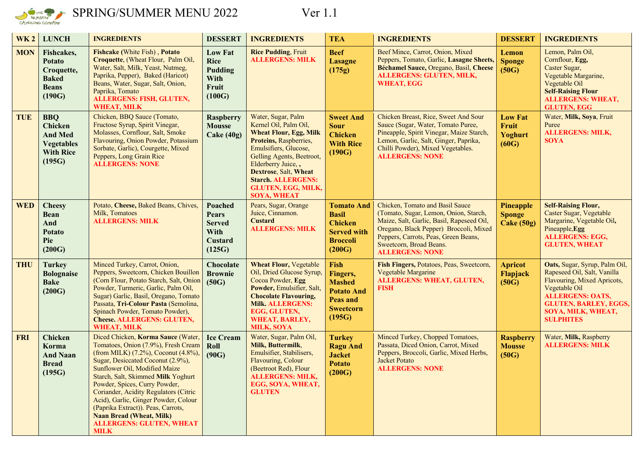

SPRING/SUMMER MENU 2022 Ver 1.1

| <b>WK2</b> | <b>LUNCH</b>                                                                               | <b>INGREDIENTS</b>                                                                                                                                                                                                                                                                                                                                                                                                                                                        | <b>DESSERT</b>                                                                      | <b>INGREDIENTS</b>                                                                                                                                                                                                                                                                                 | <b>TEA</b>                                                                                             | <b>INGREDIENTS</b>                                                                                                                                                                                                                                           | <b>DESSERT</b>                              | <b>INGREDIENTS</b>                                                                                                                                                                                                |
|------------|--------------------------------------------------------------------------------------------|---------------------------------------------------------------------------------------------------------------------------------------------------------------------------------------------------------------------------------------------------------------------------------------------------------------------------------------------------------------------------------------------------------------------------------------------------------------------------|-------------------------------------------------------------------------------------|----------------------------------------------------------------------------------------------------------------------------------------------------------------------------------------------------------------------------------------------------------------------------------------------------|--------------------------------------------------------------------------------------------------------|--------------------------------------------------------------------------------------------------------------------------------------------------------------------------------------------------------------------------------------------------------------|---------------------------------------------|-------------------------------------------------------------------------------------------------------------------------------------------------------------------------------------------------------------------|
| <b>MON</b> | Fishcakes,<br><b>Potato</b><br>Croquette,<br><b>Baked</b><br><b>Beans</b><br>(190G)        | <b>Fishcake (White Fish), Potato</b><br>Croquette, (Wheat Flour, Palm Oil,<br>Water, Salt, Milk, Yeast, Nutmeg,<br>Paprika, Pepper), Baked (Haricot)<br>Beans, Water, Sugar, Salt, Onion,<br>Paprika, Tomato<br><b>ALLERGENS: FISH, GLUTEN,</b><br><b>WHEAT, MILK</b>                                                                                                                                                                                                     | <b>Low Fat</b><br><b>Rice</b><br><b>Pudding</b><br>With<br><b>Fruit</b><br>(100G)   | <b>Rice Pudding, Fruit</b><br><b>ALLERGENS: MILK</b>                                                                                                                                                                                                                                               | <b>Beef</b><br><b>Lasagne</b><br>(175g)                                                                | Beef Mince, Carrot, Onion, Mixed<br>Peppers, Tomato, Garlic, Lasagne Sheets,<br>Béchamel Sauce, Oregano, Basil, Cheese<br><b>ALLERGENS: GLUTEN, MILK,</b><br><b>WHEAT, EGG</b>                                                                               | Lemon<br><b>Sponge</b><br>(50G)             | Lemon, Palm Oil,<br>Cornflour, Egg,<br>Caster Sugar,<br>Vegetable Margarine,<br>Vegetable Oil<br><b>Self-Raising Flour</b><br><b>ALLERGENS: WHEAT,</b><br><b>GLUTEN, EGG</b>                                      |
| <b>TUE</b> | <b>BBQ</b><br>Chicken<br><b>And Med</b><br><b>Vegetables</b><br><b>With Rice</b><br>(195G) | Chicken, BBQ Sauce (Tomato,<br>Fructose Syrup, Spirit Vinegar,<br>Molasses, Cornflour, Salt, Smoke<br>Flavouring, Onion Powder, Potassium<br>Sorbate, Garlic), Courgette, Mixed<br>Peppers, Long Grain Rice<br><b>ALLERGENS: NONE</b>                                                                                                                                                                                                                                     | <b>Raspberry</b><br><b>Mousse</b><br>$\text{Cake} (40g)$                            | Water, Sugar, Palm<br>Kernel Oil, Palm Oil,<br><b>Wheat Flour, Egg, Milk</b><br>Proteins, Raspberries,<br>Emulsifiers, Glucose,<br>Gelling Agents, Beetroot,<br>Elderberry Juice,,<br><b>Dextrose, Salt, Wheat</b><br><b>Starch. ALLERGENS:</b><br><b>GLUTEN, EGG, MILK,</b><br><b>SOYA, WHEAT</b> | <b>Sweet And</b><br><b>Sour</b><br><b>Chicken</b><br><b>With Rice</b><br>(190G)                        | Chicken Breast, Rice, Sweet And Sour<br>Sauce (Sugar, Water, Tomato Puree,<br>Pineapple, Spirit Vinegar, Maize Starch,<br>Lemon, Garlic, Salt, Ginger, Paprika,<br>Chilli Powder), Mixed Vegetables.<br><b>ALLERGENS: NONE</b>                               | <b>Low Fat</b><br>Fruit<br>Yoghurt<br>(60G) | Water, Milk, Soya, Fruit<br>Puree<br><b>ALLERGENS: MILK,</b><br><b>SOYA</b>                                                                                                                                       |
| <b>WED</b> | <b>Cheesy</b><br><b>Bean</b><br>And<br><b>Potato</b><br>Pie<br>(200G)                      | Potato, Cheese, Baked Beans, Chives,<br>Milk, Tomatoes<br><b>ALLERGENS: MILK</b>                                                                                                                                                                                                                                                                                                                                                                                          | <b>Poached</b><br><b>Pears</b><br><b>Served</b><br>With<br><b>Custard</b><br>(125G) | Pears, Sugar, Orange<br>Juice, Cinnamon.<br><b>Custard</b><br><b>ALLERGENS: MILK</b>                                                                                                                                                                                                               | <b>Tomato And</b><br><b>Basil</b><br><b>Chicken</b><br><b>Served with</b><br><b>Broccoli</b><br>(200G) | Chicken, Tomato and Basil Sauce<br>(Tomato, Sugar, Lemon, Onion, Starch,<br>Maize, Salt, Garlic, Basil, Rapeseed Oil,<br>Oregano, Black Pepper) Broccoli, Mixed<br>Peppers, Carrots, Peas, Green Beans,<br>Sweetcorn, Broad Beans.<br><b>ALLERGENS: NONE</b> | Pineapple<br><b>Sponge</b><br>Cake (50g)    | <b>Self-Raising Flour,</b><br>Caster Sugar, Vegetable<br>Margarine, Vegetable Oil,<br>Pineapple, Egg<br><b>ALLERGENS: EGG,</b><br><b>GLUTEN, WHEAT</b>                                                            |
| <b>THU</b> | <b>Turkey</b><br><b>Bolognaise</b><br><b>Bake</b><br>(200G)                                | Minced Turkey, Carrot, Onion,<br>Peppers, Sweetcorn, Chicken Bouillon<br>(Corn Flour, Potato Starch, Salt, Onion<br>Powder, Turmeric, Garlic, Palm Oil,<br>Sugar) Garlic, Basil, Oregano, Tomato<br>Passata, Tri-Colour Pasta (Semolina,<br>Spinach Powder, Tomato Powder),<br><b>Cheese. ALLERGENS: GLUTEN,</b><br><b>WHEAT, MILK</b>                                                                                                                                    | <b>Chocolate</b><br><b>Brownie</b><br>(50G)                                         | <b>Wheat Flour, Vegetable</b><br>Oil, Dried Glucose Syrup,<br>Cocoa Powder, Egg<br>Powder, Emulsifier, Salt,<br><b>Chocolate Flavouring,</b><br><b>Milk. ALLERGENS:</b><br>EGG, GLUTEN,<br><b>WHEAT, BARLEY,</b><br><b>MILK, SOYA</b>                                                              | Fish<br>Fingers,<br><b>Mashed</b><br><b>Potato And</b><br>Peas and<br><b>Sweetcorn</b><br>(195G)       | Fish Fingers, Potatoes, Peas, Sweetcorn,<br>Vegetable Margarine<br><b>ALLERGENS: WHEAT, GLUTEN,</b><br><b>FISH</b>                                                                                                                                           | <b>Apricot</b><br>Flapjack<br>(50G)         | Oats, Sugar, Syrup, Palm Oil,<br>Rapeseed Oil, Salt, Vanilla<br>Flavouring, Mixed Apricots,<br>Vegetable Oil<br><b>ALLERGENS: OATS,</b><br><b>GLUTEN, BARLEY, EGGS,</b><br>SOYA, MILK, WHEAT,<br><b>SULPHITES</b> |
| <b>FRI</b> | <b>Chicken</b><br>Korma<br><b>And Naan</b><br><b>Bread</b><br>(195G)                       | Diced Chicken, Korma Sauce (Water,<br>Tomatoes, Onion (7.9%), Fresh Cream<br>(from MILK) (7.2%), Coconut (4.8%),<br>Sugar, Desiccated Coconut (2.9%),<br>Sunflower Oil, Modified Maize<br>Starch, Salt, Skimmed Milk Yoghurt<br>Powder, Spices, Curry Powder,<br>Coriander, Acidity Regulators (Citric<br>Acid), Garlic, Ginger Powder, Colour<br>(Paprika Extract)). Peas, Carrots,<br><b>Naan Bread (Wheat, Milk)</b><br><b>ALLERGENS: GLUTEN, WHEAT</b><br><b>MILK</b> | <b>Ice Cream</b><br>Roll<br>(90G)                                                   | Water, Sugar, Palm Oil,<br>Milk, Buttermilk,<br>Emulsifier, Stabilisers,<br>Flavouring, Colour<br>(Beetroot Red), Flour<br><b>ALLERGENS: MILK,</b><br>EGG, SOYA, WHEAT,<br><b>GLUTEN</b>                                                                                                           | <b>Turkey</b><br><b>Ragu And</b><br><b>Jacket</b><br><b>Potato</b><br>(200G)                           | Minced Turkey, Chopped Tomatoes,<br>Passata, Diced Onion, Carrot, Mixed<br>Peppers, Broccoli, Garlic, Mixed Herbs,<br><b>Jacket Potato</b><br><b>ALLERGENS: NONE</b>                                                                                         | <b>Raspberry</b><br><b>Mousse</b><br>(50G)  | Water, Milk, Raspberry<br><b>ALLERGENS: MILK</b>                                                                                                                                                                  |